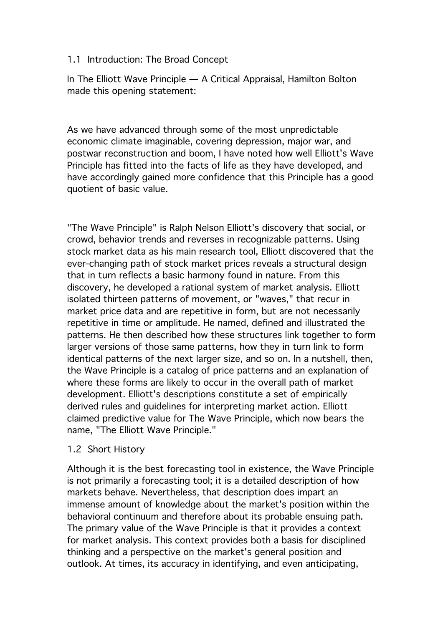# 1.1 Introduction: The Broad Concept

In The Elliott Wave Principle — A Critical Appraisal, Hamilton Bolton made this opening statement:

As we have advanced through some of the most unpredictable economic climate imaginable, covering depression, major war, and postwar reconstruction and boom, I have noted how well Elliott's Wave Principle has fitted into the facts of life as they have developed, and have accordingly gained more confidence that this Principle has a good quotient of basic value.

"The Wave Principle" is Ralph Nelson Elliott's discovery that social, or crowd, behavior trends and reverses in recognizable patterns. Using stock market data as his main research tool, Elliott discovered that the ever-changing path of stock market prices reveals a structural design that in turn reflects a basic harmony found in nature. From this discovery, he developed a rational system of market analysis. Elliott isolated thirteen patterns of movement, or "waves," that recur in market price data and are repetitive in form, but are not necessarily repetitive in time or amplitude. He named, defined and illustrated the patterns. He then described how these structures link together to form larger versions of those same patterns, how they in turn link to form identical patterns of the next larger size, and so on. In a nutshell, then, the Wave Principle is a catalog of price patterns and an explanation of where these forms are likely to occur in the overall path of market development. Elliott's descriptions constitute a set of empirically derived rules and guidelines for interpreting market action. Elliott claimed predictive value for The Wave Principle, which now bears the name, "The Elliott Wave Principle."

## 1.2 Short History

Although it is the best forecasting tool in existence, the Wave Principle is not primarily a forecasting tool; it is a detailed description of how markets behave. Nevertheless, that description does impart an immense amount of knowledge about the market's position within the behavioral continuum and therefore about its probable ensuing path. The primary value of the Wave Principle is that it provides a context for market analysis. This context provides both a basis for disciplined thinking and a perspective on the market's general position and outlook. At times, its accuracy in identifying, and even anticipating,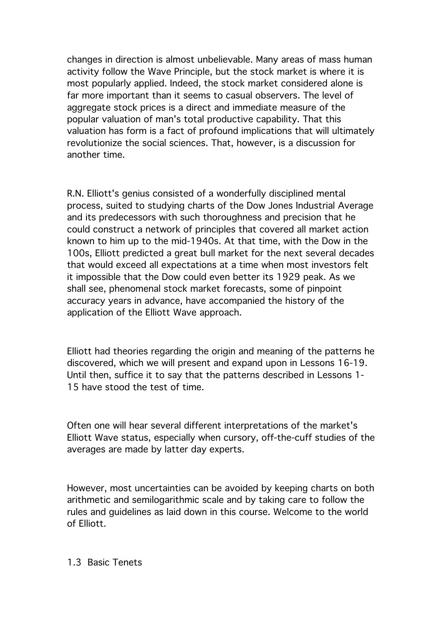changes in direction is almost unbelievable. Many areas of mass human activity follow the Wave Principle, but the stock market is where it is most popularly applied. Indeed, the stock market considered alone is far more important than it seems to casual observers. The level of aggregate stock prices is a direct and immediate measure of the popular valuation of man's total productive capability. That this valuation has form is a fact of profound implications that will ultimately revolutionize the social sciences. That, however, is a discussion for another time.

R.N. Elliott's genius consisted of a wonderfully disciplined mental process, suited to studying charts of the Dow Jones Industrial Average and its predecessors with such thoroughness and precision that he could construct a network of principles that covered all market action known to him up to the mid-1940s. At that time, with the Dow in the 100s, Elliott predicted a great bull market for the next several decades that would exceed all expectations at a time when most investors felt it impossible that the Dow could even better its 1929 peak. As we shall see, phenomenal stock market forecasts, some of pinpoint accuracy years in advance, have accompanied the history of the application of the Elliott Wave approach.

Elliott had theories regarding the origin and meaning of the patterns he discovered, which we will present and expand upon in Lessons 16-19. Until then, suffice it to say that the patterns described in Lessons 1- 15 have stood the test of time.

Often one will hear several different interpretations of the market's Elliott Wave status, especially when cursory, off-the-cuff studies of the averages are made by latter day experts.

However, most uncertainties can be avoided by keeping charts on both arithmetic and semilogarithmic scale and by taking care to follow the rules and guidelines as laid down in this course. Welcome to the world of Elliott.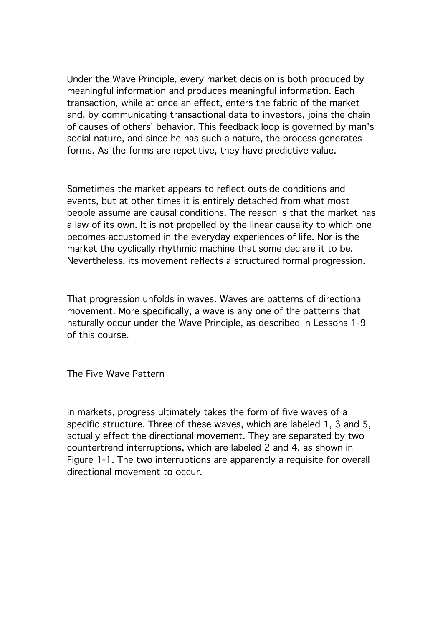Under the Wave Principle, every market decision is both produced by meaningful information and produces meaningful information. Each transaction, while at once an effect, enters the fabric of the market and, by communicating transactional data to investors, joins the chain of causes of others' behavior. This feedback loop is governed by man's social nature, and since he has such a nature, the process generates forms. As the forms are repetitive, they have predictive value.

Sometimes the market appears to reflect outside conditions and events, but at other times it is entirely detached from what most people assume are causal conditions. The reason is that the market has a law of its own. It is not propelled by the linear causality to which one becomes accustomed in the everyday experiences of life. Nor is the market the cyclically rhythmic machine that some declare it to be. Nevertheless, its movement reflects a structured formal progression.

That progression unfolds in waves. Waves are patterns of directional movement. More specifically, a wave is any one of the patterns that naturally occur under the Wave Principle, as described in Lessons 1-9 of this course.

The Five Wave Pattern

In markets, progress ultimately takes the form of five waves of a specific structure. Three of these waves, which are labeled 1, 3 and 5, actually effect the directional movement. They are separated by two countertrend interruptions, which are labeled 2 and 4, as shown in Figure 1-1. The two interruptions are apparently a requisite for overall directional movement to occur.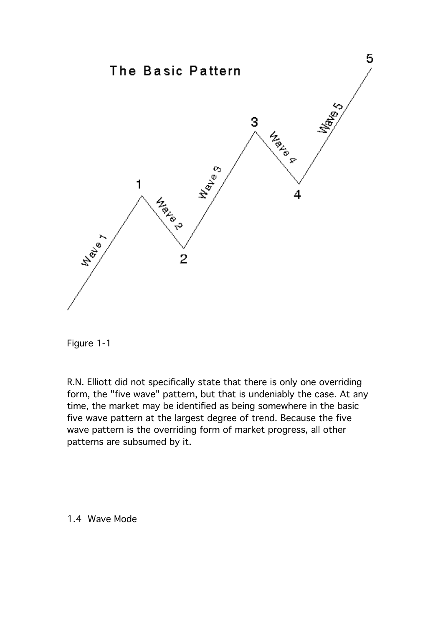



R.N. Elliott did not specifically state that there is only one overriding form, the "five wave" pattern, but that is undeniably the case. At any time, the market may be identified as being somewhere in the basic five wave pattern at the largest degree of trend. Because the five wave pattern is the overriding form of market progress, all other patterns are subsumed by it.

1.4 Wave Mode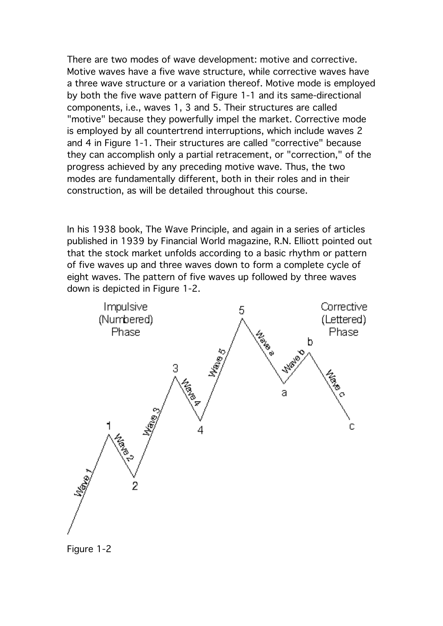There are two modes of wave development: motive and corrective. Motive waves have a five wave structure, while corrective waves have a three wave structure or a variation thereof. Motive mode is employed by both the five wave pattern of Figure 1-1 and its same-directional components, i.e., waves 1, 3 and 5. Their structures are called "motive" because they powerfully impel the market. Corrective mode is employed by all countertrend interruptions, which include waves 2 and 4 in Figure 1-1. Their structures are called "corrective" because they can accomplish only a partial retracement, or "correction," of the progress achieved by any preceding motive wave. Thus, the two modes are fundamentally different, both in their roles and in their construction, as will be detailed throughout this course.

In his 1938 book, The Wave Principle, and again in a series of articles published in 1939 by Financial World magazine, R.N. Elliott pointed out that the stock market unfolds according to a basic rhythm or pattern of five waves up and three waves down to form a complete cycle of eight waves. The pattern of five waves up followed by three waves down is depicted in Figure 1-2.



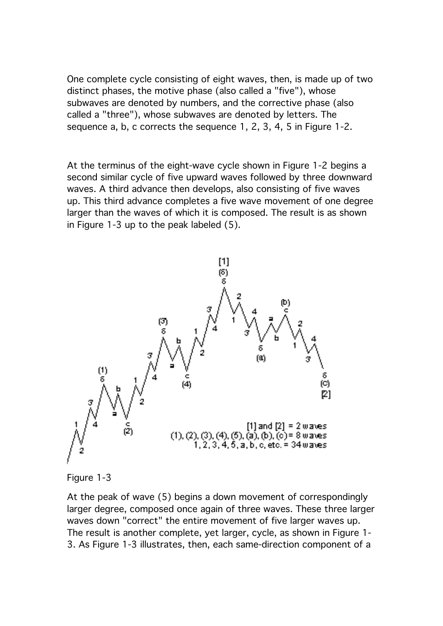One complete cycle consisting of eight waves, then, is made up of two distinct phases, the motive phase (also called a "five"), whose subwaves are denoted by numbers, and the corrective phase (also called a "three"), whose subwaves are denoted by letters. The sequence a, b, c corrects the sequence 1, 2, 3, 4, 5 in Figure 1-2.

At the terminus of the eight-wave cycle shown in Figure 1-2 begins a second similar cycle of five upward waves followed by three downward waves. A third advance then develops, also consisting of five waves up. This third advance completes a five wave movement of one degree larger than the waves of which it is composed. The result is as shown in Figure 1-3 up to the peak labeled (5).



Figure 1-3

At the peak of wave (5) begins a down movement of correspondingly larger degree, composed once again of three waves. These three larger waves down "correct" the entire movement of five larger waves up. The result is another complete, yet larger, cycle, as shown in Figure 1- 3. As Figure 1-3 illustrates, then, each same-direction component of a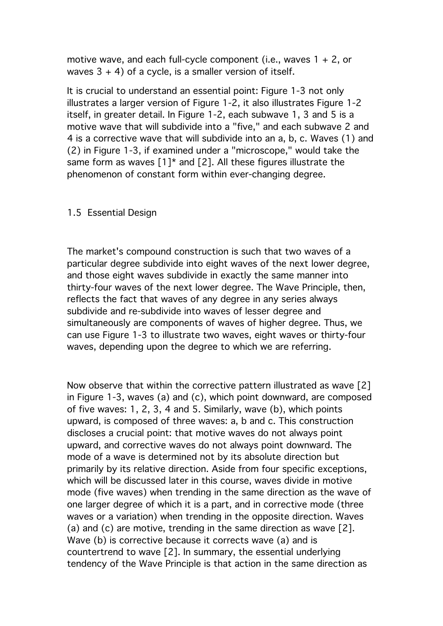motive wave, and each full-cycle component (i.e., waves  $1 + 2$ , or waves  $3 + 4$ ) of a cycle, is a smaller version of itself.

It is crucial to understand an essential point: Figure 1-3 not only illustrates a larger version of Figure 1-2, it also illustrates Figure 1-2 itself, in greater detail. In Figure 1-2, each subwave 1, 3 and 5 is a motive wave that will subdivide into a "five," and each subwave 2 and 4 is a corrective wave that will subdivide into an a, b, c. Waves (1) and (2) in Figure 1-3, if examined under a "microscope," would take the same form as waves  $[1]^*$  and  $[2]$ . All these figures illustrate the phenomenon of constant form within ever-changing degree.

### 1.5 Essential Design

The market's compound construction is such that two waves of a particular degree subdivide into eight waves of the next lower degree, and those eight waves subdivide in exactly the same manner into thirty-four waves of the next lower degree. The Wave Principle, then, reflects the fact that waves of any degree in any series always subdivide and re-subdivide into waves of lesser degree and simultaneously are components of waves of higher degree. Thus, we can use Figure 1-3 to illustrate two waves, eight waves or thirty-four waves, depending upon the degree to which we are referring.

Now observe that within the corrective pattern illustrated as wave [2] in Figure 1-3, waves (a) and (c), which point downward, are composed of five waves: 1, 2, 3, 4 and 5. Similarly, wave (b), which points upward, is composed of three waves: a, b and c. This construction discloses a crucial point: that motive waves do not always point upward, and corrective waves do not always point downward. The mode of a wave is determined not by its absolute direction but primarily by its relative direction. Aside from four specific exceptions, which will be discussed later in this course, waves divide in motive mode (five waves) when trending in the same direction as the wave of one larger degree of which it is a part, and in corrective mode (three waves or a variation) when trending in the opposite direction. Waves (a) and (c) are motive, trending in the same direction as wave [2]. Wave (b) is corrective because it corrects wave (a) and is countertrend to wave [2]. In summary, the essential underlying tendency of the Wave Principle is that action in the same direction as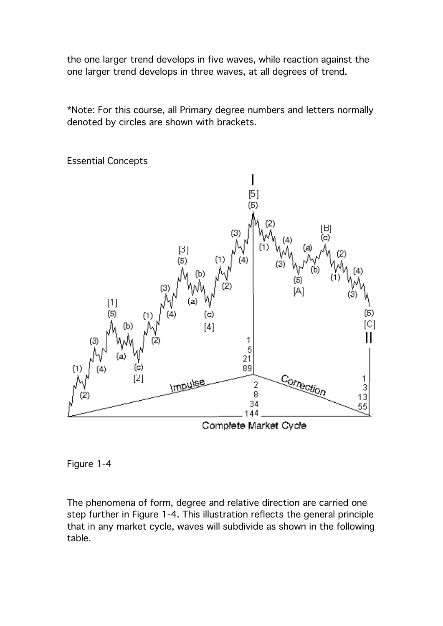the one larger trend develops in five waves, while reaction against the one larger trend develops in three waves, at all degrees of trend.

\*Note: For this course, all Primary degree numbers and letters normally denoted by circles are shown with brackets.



Complete Market Cycle

Figure 1-4

The phenomena of form, degree and relative direction are carried one step further in Figure 1-4. This illustration reflects the general principle that in any market cycle, waves will subdivide as shown in the following table.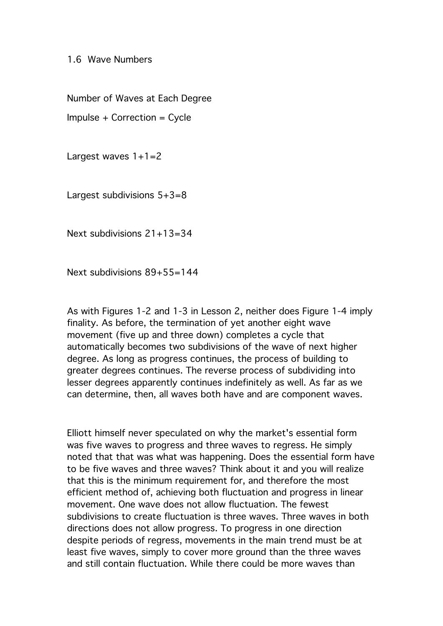#### 1.6 Wave Numbers

Number of Waves at Each Degree

 $Impulse + Correction = Cycle$ 

Largest waves  $1+1=2$ 

Largest subdivisions 5+3=8

Next subdivisions 21+13=34

Next subdivisions 89+55=144

As with Figures 1-2 and 1-3 in Lesson 2, neither does Figure 1-4 imply finality. As before, the termination of yet another eight wave movement (five up and three down) completes a cycle that automatically becomes two subdivisions of the wave of next higher degree. As long as progress continues, the process of building to greater degrees continues. The reverse process of subdividing into lesser degrees apparently continues indefinitely as well. As far as we can determine, then, all waves both have and are component waves.

Elliott himself never speculated on why the market's essential form was five waves to progress and three waves to regress. He simply noted that that was what was happening. Does the essential form have to be five waves and three waves? Think about it and you will realize that this is the minimum requirement for, and therefore the most efficient method of, achieving both fluctuation and progress in linear movement. One wave does not allow fluctuation. The fewest subdivisions to create fluctuation is three waves. Three waves in both directions does not allow progress. To progress in one direction despite periods of regress, movements in the main trend must be at least five waves, simply to cover more ground than the three waves and still contain fluctuation. While there could be more waves than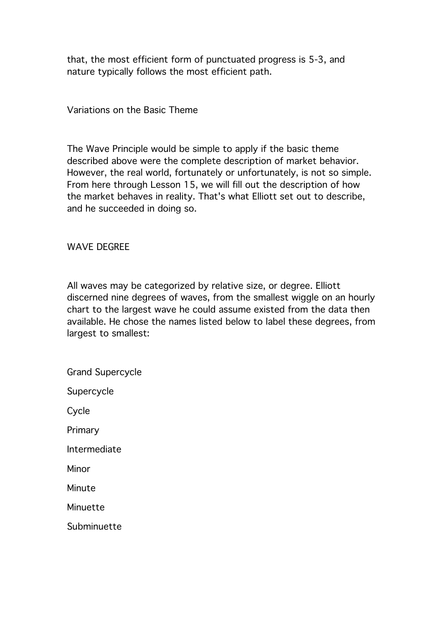that, the most efficient form of punctuated progress is 5-3, and nature typically follows the most efficient path.

Variations on the Basic Theme

The Wave Principle would be simple to apply if the basic theme described above were the complete description of market behavior. However, the real world, fortunately or unfortunately, is not so simple. From here through Lesson 15, we will fill out the description of how the market behaves in reality. That's what Elliott set out to describe, and he succeeded in doing so.

# WAVE DEGREE

All waves may be categorized by relative size, or degree. Elliott discerned nine degrees of waves, from the smallest wiggle on an hourly chart to the largest wave he could assume existed from the data then available. He chose the names listed below to label these degrees, from largest to smallest:

Grand Supercycle Supercycle Cycle **Primary** Intermediate Minor Minute **Minuette** Subminuette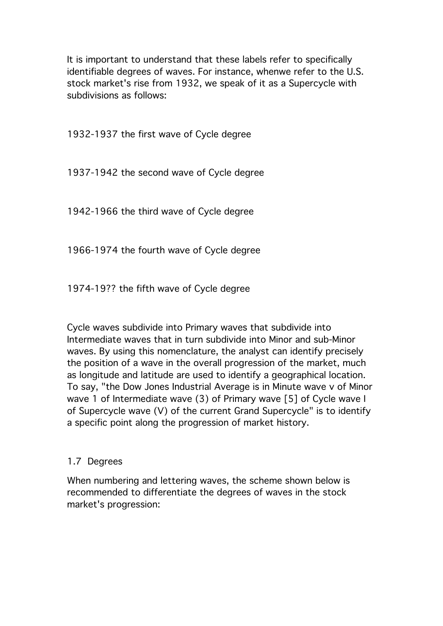It is important to understand that these labels refer to specifically identifiable degrees of waves. For instance, whenwe refer to the U.S. stock market's rise from 1932, we speak of it as a Supercycle with subdivisions as follows:

1932-1937 the first wave of Cycle degree

1937-1942 the second wave of Cycle degree

1942-1966 the third wave of Cycle degree

1966-1974 the fourth wave of Cycle degree

1974-19?? the fifth wave of Cycle degree

Cycle waves subdivide into Primary waves that subdivide into Intermediate waves that in turn subdivide into Minor and sub-Minor waves. By using this nomenclature, the analyst can identify precisely the position of a wave in the overall progression of the market, much as longitude and latitude are used to identify a geographical location. To say, "the Dow Jones Industrial Average is in Minute wave v of Minor wave 1 of Intermediate wave (3) of Primary wave [5] of Cycle wave I of Supercycle wave (V) of the current Grand Supercycle" is to identify a specific point along the progression of market history.

## 1.7 Degrees

When numbering and lettering waves, the scheme shown below is recommended to differentiate the degrees of waves in the stock market's progression: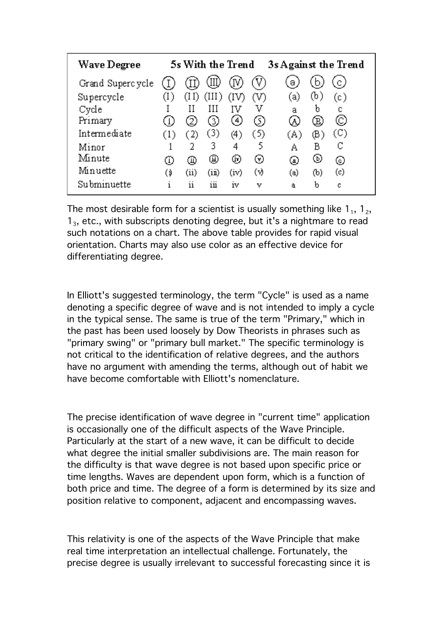| Wave Degree      | 5s With the Trend<br>3s Against the Trend |      |          |      |                           |     |                            |     |
|------------------|-------------------------------------------|------|----------|------|---------------------------|-----|----------------------------|-----|
| Grand Supercycle |                                           |      |          | (IV) |                           | а   |                            | ce) |
| Supercycle       | O)                                        |      | (III)    | (IV) | M)                        | (a) | (b.                        | (c) |
| Cycle            |                                           | Η    | Ш        | ΙV   | V                         | a   | b                          | с   |
| Primary          |                                           | 2    | 3)       | (4)  | (S)                       | A)  | $\left( \mathbb{B}\right)$ | C   |
| Intermediate     | (1)                                       | (2)  | (3)      | (4)  | (5)                       | (A) | (B)                        | (C) |
| Minor            |                                           | 2    | 3        | 4    | 5                         | А   | В                          | С   |
| Minute           | (i)                                       | ⅏    | ⊕        | ⊛    | (v)                       | ⊛   | ⋓                          | ⊚   |
| Minuette         | 0                                         | (ii) | (iii)    | (iv) | $\left(\texttt{v}\right)$ | (a) | (b)                        | (c) |
| Subminuette      | i                                         | ii   | .<br>111 | 1V   | v                         | a   | ħ                          | c   |

The most desirable form for a scientist is usually something like  $1<sub>1</sub>$ ,  $1<sub>2</sub>$ ,  $1<sub>3</sub>$ , etc., with subscripts denoting degree, but it's a nightmare to read such notations on a chart. The above table provides for rapid visual orientation. Charts may also use color as an effective device for differentiating degree.

In Elliott's suggested terminology, the term "Cycle" is used as a name denoting a specific degree of wave and is not intended to imply a cycle in the typical sense. The same is true of the term "Primary," which in the past has been used loosely by Dow Theorists in phrases such as "primary swing" or "primary bull market." The specific terminology is not critical to the identification of relative degrees, and the authors have no argument with amending the terms, although out of habit we have become comfortable with Elliott's nomenclature.

The precise identification of wave degree in "current time" application is occasionally one of the difficult aspects of the Wave Principle. Particularly at the start of a new wave, it can be difficult to decide what degree the initial smaller subdivisions are. The main reason for the difficulty is that wave degree is not based upon specific price or time lengths. Waves are dependent upon form, which is a function of both price and time. The degree of a form is determined by its size and position relative to component, adjacent and encompassing waves.

This relativity is one of the aspects of the Wave Principle that make real time interpretation an intellectual challenge. Fortunately, the precise degree is usually irrelevant to successful forecasting since it is